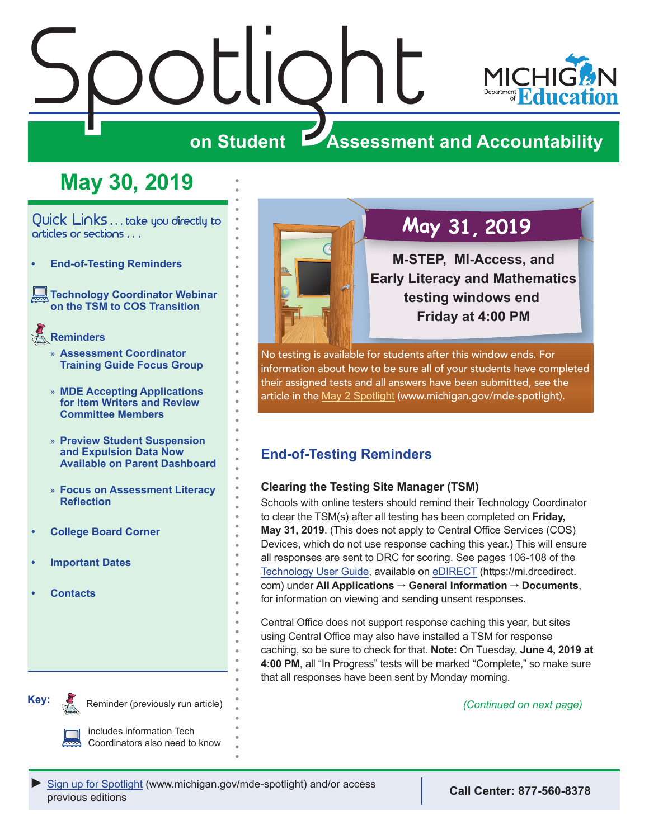# <span id="page-0-0"></span>Spotlight



### **on Student Assessment and Accountability**

# **May 30, 2019**

Quick Links . . . take you directly to articles or sections . . .

- **• End-of-Testing Reminders**
- **[Technology Coordinator Webinar](#page-1-0)  [on the TSM to COS Transition](#page-1-0)**

### Reminders **[Reminders](#page-1-0)**

- » **[Assessment Coordinator](#page-1-0)  [Training Guide Focus Group](#page-1-0)**
- » **[MDE Accepting Applications](#page-2-0)  [for Item Writers and Review](#page-2-0)  [Committee Members](#page-2-0)**
- » **[Preview Student Suspension](#page-3-0)  [and Expulsion Data Now](#page-3-0)  [Available on Parent Dashboard](#page-3-0)**
- » **[Focus on Assessment Literacy](#page-3-0)  [Reflection](#page-3-0)**
- **• [College Board Corner](#page-4-0)**
- **• [Important Dates](#page-5-0)**
- **• [Contacts](#page-6-0)**



## May 31, 2019

**M-STEP, MI-Access, and Early Literacy and Mathematics testing windows end Friday at 4:00 PM**

No testing is available for students after this window ends. For information about how to be sure all of your students have completed their assigned tests and all answers have been submitted, see the article in the [May 2 Spotlight](https://www.michigan.gov/documents/mde/Spotlight_5-2-19_654086_7.pdf) (www.michigan.gov/mde-spotlight).

### **End-of-Testing Reminders**

### **Clearing the Testing Site Manager (TSM)**

Schools with online testers should remind their Technology Coordinator to clear the TSM(s) after all testing has been completed on **Friday, May 31, 2019**. (This does not apply to Central Office Services (COS) Devices, which do not use response caching this year.) This will ensure all responses are sent to DRC for scoring. See pages 106-108 of the [Technology User Guide](https://mi.drcedirect.com/Documents/Unsecure/Doc.aspx?id=27830d03-3cb2-459f-8843-40dd48d81b1a), available on [eDIRECT](https://mi.drcedirect.com) (https://mi.drcedirect. com) under **All Applications** → **General Information** → **Documents**, for information on viewing and sending unsent responses.

Central Office does not support response caching this year, but sites using Central Office may also have installed a TSM for response caching, so be sure to check for that. **Note:** On Tuesday, **June 4, 2019 at 4:00 PM**, all "In Progress" tests will be marked "Complete," so make sure that all responses have been sent by Monday morning.

*(Continued on next page)*



Reminder (previously run article)

includes information Tech Coordinators also need to know



**Call Center: 877-560-8378**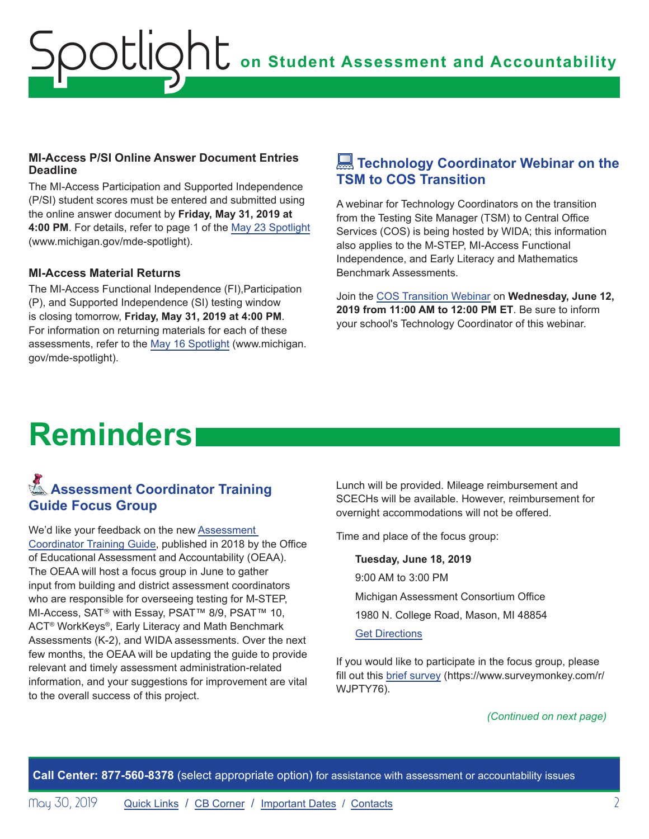### <span id="page-1-0"></span>**MI-Access P/SI Online Answer Document Entries Deadline**

The MI-Access Participation and Supported Independence (P/SI) student scores must be entered and submitted using the online answer document by **Friday, May 31, 2019 at 4:00 PM**. For details, refer to page 1 of the [May 23 Spotlight](https://www.michigan.gov/documents/mde/Spotlight_5-23-19_656007_7.pdf) (www.michigan.gov/mde-spotlight).

### **MI-Access Material Returns**

The MI-Access Functional Independence (FI),Participation (P), and Supported Independence (SI) testing window is closing tomorrow, **Friday, May 31, 2019 at 4:00 PM**. For information on returning materials for each of these assessments, refer to the [May 16 Spotlight](https://www.michigan.gov/documents/mde/Spotlight_5-16-19_655364_7.pdf) (www.michigan. gov/mde-spotlight).

### **Example Technology Coordinator Webinar on the TSM to COS Transition**

A webinar for Technology Coordinators on the transition from the Testing Site Manager (TSM) to Central Office Services (COS) is being hosted by WIDA; this information also applies to the M-STEP, MI-Access Functional Independence, and Early Literacy and Mathematics Benchmark Assessments.

Join the COS Transition Webinar on **Wednesday, June 12, 2019 from 11:00 AM to 12:00 PM ET**. Be sure to inform your school's Technology Coordinator of this webinar.

# **Reminders**

### Reminders **Assessment Coordinator Training Guide Focus Group**

We'd like your feedback on the new [Assessment](https://www.michigan.gov/mde/0,4615,7-140-22709_63192-476290--,00.html)  [Coordinator Training Guide](https://www.michigan.gov/mde/0,4615,7-140-22709_63192-476290--,00.html), published in 2018 by the Office of Educational Assessment and Accountability (OEAA). The OEAA will host a focus group in June to gather input from building and district assessment coordinators who are responsible for overseeing testing for M-STEP, MI-Access, SAT® with Essay, PSAT™ 8/9, PSAT™ 10, ACT® WorkKeys®, Early Literacy and Math Benchmark Assessments (K-2), and WIDA assessments. Over the next few months, the OEAA will be updating the guide to provide relevant and timely assessment administration-related information, and your suggestions for improvement are vital to the overall success of this project.

Lunch will be provided. Mileage reimbursement and SCECHs will be available. However, reimbursement for overnight accommodations will not be offered.

Time and place of the focus group:

**Tuesday, June 18, 2019** 9:00 AM to 3:00 PM Michigan Assessment Consortium Office 1980 N. College Road, Mason, MI 48854 [Get Directions](https://www.google.com/maps/place/Michigan+Assessment+Consortium/@42.639012,-84.4846947,17z/data=!3m1!4b1!4m5!3m4!1s0x8822c4622e6e5a1f:0xf0932290db64c1a4!8m2!3d42.639012!4d-84.482506)

If you would like to participate in the focus group, please fill out this [brief survey](https://www.surveymonkey.com/r/WJPTY76) (https://www.surveymonkey.com/r/ WJPTY76).

*(Continued on next page)*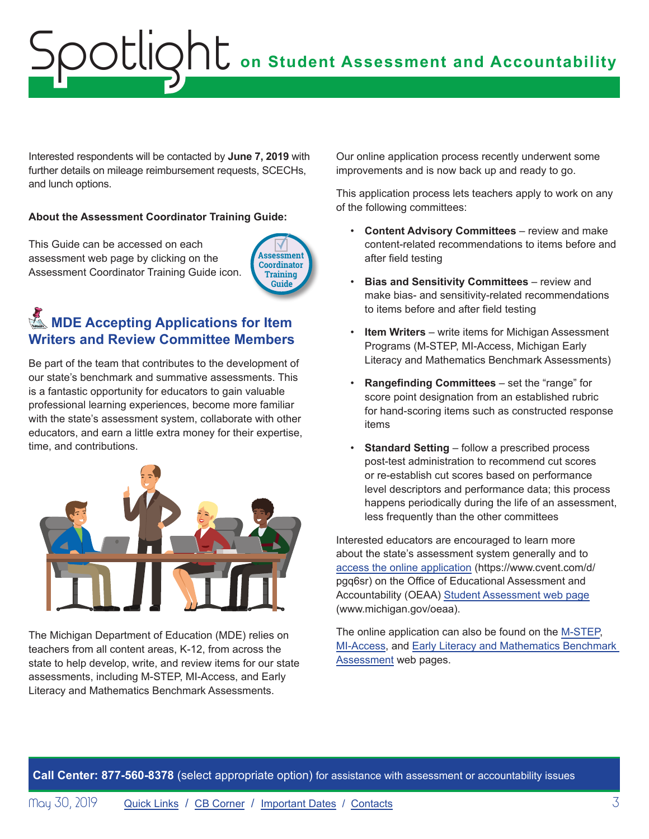# <span id="page-2-0"></span>**OC** on Student Assessment and Accountability octlic

Interested respondents will be contacted by **June 7, 2019** with further details on mileage reimbursement requests, SCECHs, and lunch options.

#### **About the Assessment Coordinator Training Guide:**

This Guide can be accessed on each assessment web page by clicking on the Assessment Coordinator Training Guide icon.



### **KMDE Accepting Applications for Item Writers and Review Committee Members**

Be part of the team that contributes to the development of our state's benchmark and summative assessments. This is a fantastic opportunity for educators to gain valuable professional learning experiences, become more familiar with the state's assessment system, collaborate with other educators, and earn a little extra money for their expertise, time, and contributions.



The Michigan Department of Education (MDE) relies on teachers from all content areas, K-12, from across the state to help develop, write, and review items for our state assessments, including M-STEP, MI-Access, and Early Literacy and Mathematics Benchmark Assessments.

Our online application process recently underwent some improvements and is now back up and ready to go.

This application process lets teachers apply to work on any of the following committees:

- **Content Advisory Committees** review and make content-related recommendations to items before and after field testing
- **Bias and Sensitivity Committees** review and make bias- and sensitivity-related recommendations to items before and after field testing
- **Item Writers** write items for Michigan Assessment Programs (M-STEP, MI-Access, Michigan Early Literacy and Mathematics Benchmark Assessments)
- **Rangefinding Committees** set the "range" for score point designation from an established rubric for hand-scoring items such as constructed response items
- **Standard Setting** follow a prescribed process post-test administration to recommend cut scores or re-establish cut scores based on performance level descriptors and performance data; this process happens periodically during the life of an assessment, less frequently than the other committees

Interested educators are encouraged to learn more about the state's assessment system generally and to [access the online application](https://www.cvent.com/d/pgq6sr) (https://www.cvent.com/d/ pgq6sr) on the Office of Educational Assessment and Accountability (OEAA) [Student Assessment web page](http://www.michigan.gov/oeaa) (www.michigan.gov/oeaa).

The online application can also be found on the [M-STEP](www.michigan.gov/mstep), [MI-Access,](http://www.michigan.gov/mi-access) and [Early Literacy and Mathematics Benchmark](www.michigan.gov/earlylitandmath)  [Assessment](www.michigan.gov/earlylitandmath) web pages.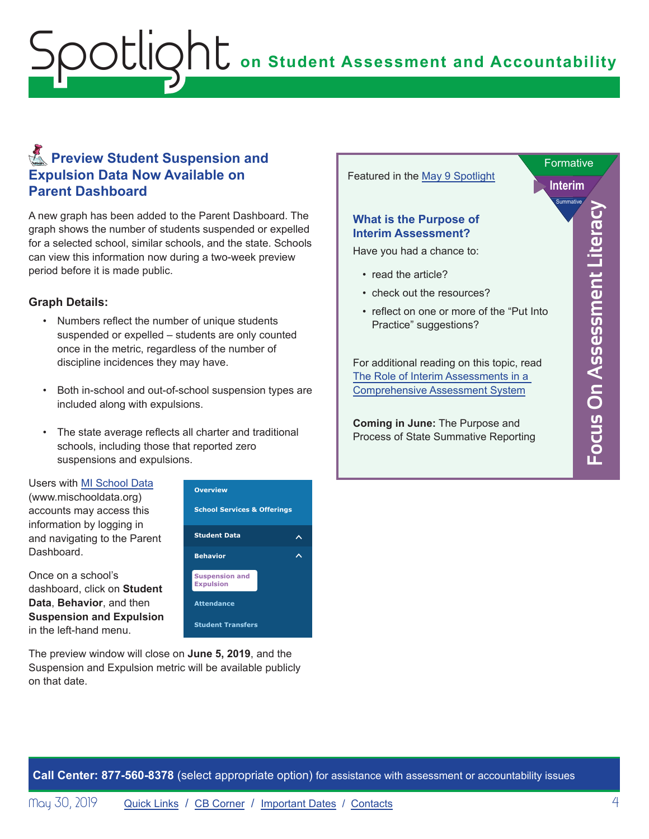### <span id="page-3-0"></span>**Reminders** Preview Student Suspension and **Expulsion Data Now Available on Parent Dashboard**

A new graph has been added to the Parent Dashboard. The graph shows the number of students suspended or expelled for a selected school, similar schools, and the state. Schools can view this information now during a two-week preview period before it is made public.

#### **Graph Details:**

- Numbers reflect the number of unique students suspended or expelled – students are only counted once in the metric, regardless of the number of discipline incidences they may have.
- Both in-school and out-of-school suspension types are included along with expulsions.
- The state average reflects all charter and traditional schools, including those that reported zero suspensions and expulsions.

Users with [MI School Data](https://www.mischooldata.org/) (www.mischooldata.org) accounts may access this information by logging in and navigating to the Parent Dashboard.

Once on a school's dashboard, click on **Student Data**, **Behavior**, and then **Suspension and Expulsion** in the left-hand menu.



The preview window will close on **June 5, 2019**, and the Suspension and Expulsion metric will be available publicly on that date.



**Call Center: 877-560-8378** (select appropriate option) for assistance with assessment or accountability issues

May 30, 2019 [Quick Links](#page-0-0) / [CB Corner](#page-4-1) / [Important Dates](#page-5-1) / [Contacts](#page-6-1) 4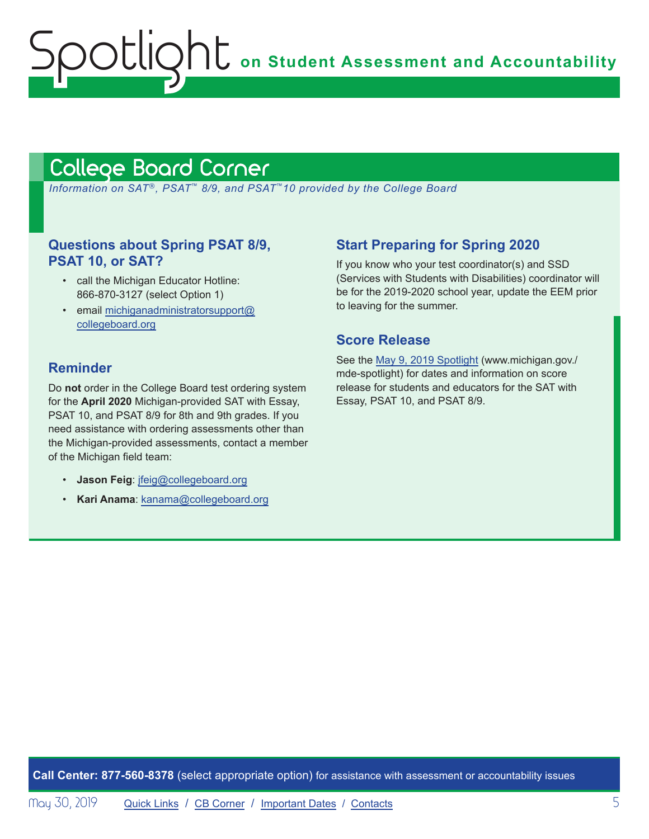**OC** on Student Assessment and Accountability

### <span id="page-4-1"></span>College Board Corner

<span id="page-4-0"></span>ootlig

 *Information on SAT*®*, PSAT*™ *8/9, and PSAT*™*10 provided by the College Board*

### **Questions about Spring PSAT 8/9, PSAT 10, or SAT?**

- call the Michigan Educator Hotline: 866-870-3127 (select Option 1)
- email [michiganadministratorsupport@](mailto:michiganadministratorsupport%40collegeboard.org?subject=) [collegeboard.org](mailto:michiganadministratorsupport%40collegeboard.org?subject=)

### **Reminder**

Do **not** order in the College Board test ordering system for the **April 2020** Michigan-provided SAT with Essay, PSAT 10, and PSAT 8/9 for 8th and 9th grades. If you need assistance with ordering assessments other than the Michigan-provided assessments, contact a member of the Michigan field team:

- **Jason Feig**: [jfeig@collegeboard.org](mailto:jfeig%40collegeboard.org?subject=)
- **Kari Anama**: [kanama@collegeboard.org](mailto:kanama%40collegeboard.org?subject=)

### **Start Preparing for Spring 2020**

If you know who your test coordinator(s) and SSD (Services with Students with Disabilities) coordinator will be for the 2019-2020 school year, update the EEM prior to leaving for the summer.

### **Score Release**

See the [May 9, 2019 Spotlight](https://www.michigan.gov/documents/mde/Spotlight_5-9-19_654743_7.pdf) (www.michigan.gov./ mde-spotlight) for dates and information on score release for students and educators for the SAT with Essay, PSAT 10, and PSAT 8/9.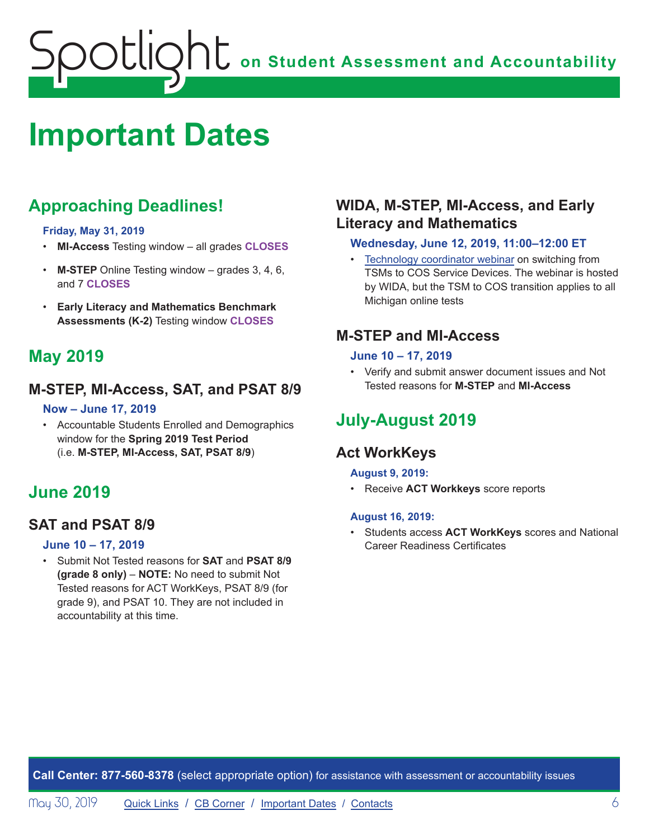# <span id="page-5-1"></span><span id="page-5-0"></span>**Important Dates**

### **Approaching Deadlines!**

#### **Friday, May 31, 2019**

- **MI-Access** Testing window all grades **CLOSES**
- **M-STEP** Online Testing window grades 3, 4, 6, and 7 **CLOSES**
- **Early Literacy and Mathematics Benchmark Assessments (K-2)** Testing window **CLOSES**

### **May 2019**

### **M-STEP, MI-Access, SAT, and PSAT 8/9**

### **Now – June 17, 2019**

• Accountable Students Enrolled and Demographics window for the **Spring 2019 Test Period** (i.e. **M-STEP, MI-Access, SAT, PSAT 8/9**)

### **June 2019**

### **SAT and PSAT 8/9**

### **June 10 – 17, 2019**

• Submit Not Tested reasons for **SAT** and **PSAT 8/9 (grade 8 only)** – **NOTE:** No need to submit Not Tested reasons for ACT WorkKeys, PSAT 8/9 (for grade 9), and PSAT 10. They are not included in accountability at this time.

### **WIDA, M-STEP, MI-Access, and Early Literacy and Mathematics**

### **Wednesday, June 12, 2019, 11:00–12:00 ET**

• Technology coordinator webinar on switching from TSMs to COS Service Devices. The webinar is hosted by WIDA, but the TSM to COS transition applies to all Michigan online tests

### **M-STEP and MI-Access**

### **June 10 – 17, 2019**

• Verify and submit answer document issues and Not Tested reasons for **M-STEP** and **MI-Access** 

### **July-August 2019**

### **Act WorkKeys**

#### **August 9, 2019:**

• Receive **ACT Workkeys** score reports

### **August 16, 2019:**

• Students access **ACT WorkKeys** scores and National Career Readiness Certificates